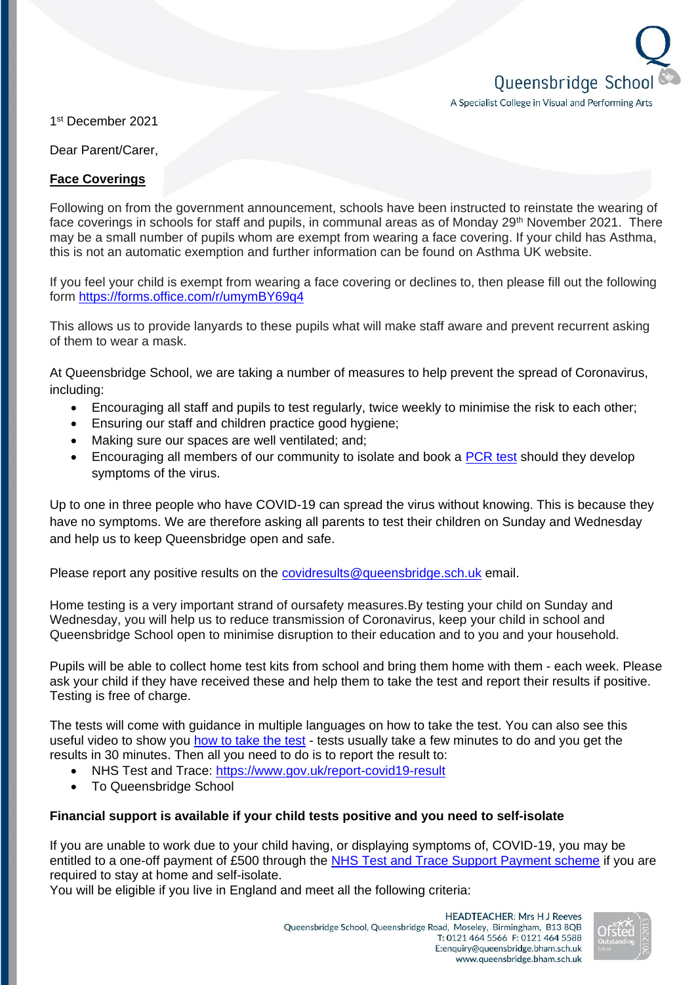

1 st December 2021

Dear Parent/Carer,

## **Face Coverings**

Following on from the government announcement, schools have been instructed to reinstate the wearing of face coverings in schools for staff and pupils, in communal areas as of Monday 29<sup>th</sup> November 2021. There may be a small number of pupils whom are exempt from wearing a face covering. If your child has Asthma, this is not an automatic exemption and further information can be found on Asthma UK website.

If you feel your child is exempt from wearing a face covering or declines to, then please fill out the following form<https://forms.office.com/r/umymBY69q4>

This allows us to provide lanyards to these pupils what will make staff aware and prevent recurrent asking of them to wear a mask.

At Queensbridge School, we are taking a number of measures to help prevent the spread of Coronavirus, including:

- Encouraging all staff and pupils to test regularly, twice weekly to minimise the risk to each other;
- Ensuring our staff and children practice good hygiene;
- Making sure our spaces are well ventilated; and;
- Encouraging all members of our community to isolate and book a [PCR test](https://www.gov.uk/get-coronavirus-test) should they develop symptoms of the virus.

Up to one in three people who have COVID-19 can spread the virus without knowing. This is because they have no symptoms. We are therefore asking all parents to test their children on Sunday and Wednesday and help us to keep Queensbridge open and safe.

Please report any positive results on the [covidresults@queensbridge.sch.uk](mailto:covidresults@queensbridge.sch.uk) email.

Home testing is a very important strand of oursafety measures.By testing your child on Sunday and Wednesday, you will help us to reduce transmission of Coronavirus, keep your child in school and Queensbridge School open to minimise disruption to their education and to you and your household.

Pupils will be able to collect home test kits from school and bring them home with them - each week. Please ask your child if they have received these and help them to take the test and report their results if positive. Testing is free of charge.

The tests will come with guidance in multiple languages on how to take the test. You can also see this useful video to show you [how to take the test](https://www.gov.uk/guidance/covid-19-self-test-help) - tests usually take a few minutes to do and you get the results in 30 minutes. Then all you need to do is to report the result to:

- NHS Test and Trace:<https://www.gov.uk/report-covid19-result>
- To Queensbridge School

## **Financial support is available if your child tests positive and you need to self-isolate**

If you are unable to work due to your child having, or displaying symptoms of, COVID-19, you may be entitled to a one-off payment of £500 through the [NHS Test and Trace Support Payment scheme](https://www.gov.uk/government/publications/test-and-trace-support-payment-scheme-claiming-financial-support/claiming-financial-support-under-the-test-and-trace-support-payment-scheme) if you are required to stay at home and self-isolate.

You will be eligible if you live in England and meet all the following criteria: